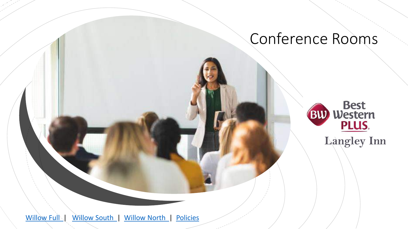## Conference Rooms



<span id="page-0-0"></span>[Willow Full](#page-1-0) | [Willow South |](#page-2-0) [Willow North |](#page-3-0) [Policies](#page-4-0)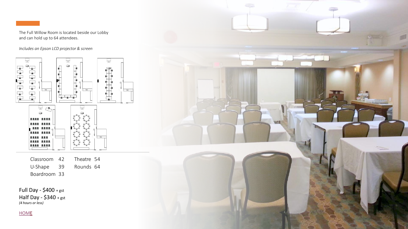<span id="page-1-0"></span>

The Full Willow Room is located beside our Lobby and can hold up to 64 attendees.

*Includes an Epson LCD projector & screen*



Classroom 42 Theatre 54 U-Shape 39 Rounds 64 Boardroom 33

Full Day -  $$400 + gst$ Half Day - \$340 + gst *(4 hours or less)*

**[HOME](#page-0-0)** 

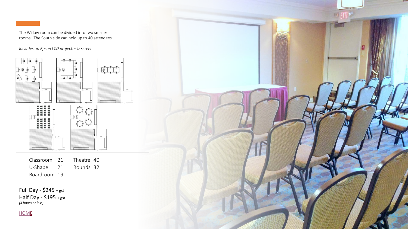<span id="page-2-0"></span>The Willow room can be divided into two smaller rooms. The South side can hold up to 40 attendees

*Includes an Epson LCD projector & screen*

 $-2$ kon h  $\begin{picture}(20,10) \put(0,0){\line(1,0){10}} \put(15,0){\line(1,0){10}} \put(15,0){\line(1,0){10}} \put(15,0){\line(1,0){10}} \put(15,0){\line(1,0){10}} \put(15,0){\line(1,0){10}} \put(15,0){\line(1,0){10}} \put(15,0){\line(1,0){10}} \put(15,0){\line(1,0){10}} \put(15,0){\line(1,0){10}} \put(15,0){\line(1,0){10}} \put(15,0){\line(1$  $\mathbb{R}^+$  $\begin{picture}(20,20) \put(0,0){\line(1,0){15}} \put(15,0){\line(1,0){15}} \put(15,0){\line(1,0){15}} \put(15,0){\line(1,0){15}} \put(15,0){\line(1,0){15}} \put(15,0){\line(1,0){15}} \put(15,0){\line(1,0){15}} \put(15,0){\line(1,0){15}} \put(15,0){\line(1,0){15}} \put(15,0){\line(1,0){15}} \put(15,0){\line(1,0){15}} \put(15,0){\line(1$ لهالها **PLAN**  $\mathbb{R}^{\mathbb{N}}$ 222222<br>222222<br>222222  $27.23$ 

Classroom 21 Theatre 40<br>
U-Shape 21 Rounds 32<br>
Boardroom 19<br> **Full Day - \$245** + gst<br> **Half Day - \$195** + gst<br>
(4 hours or less) U-Shape 21 Rounds 32 Boardroom 19

Full Day - \$245 + gst Half Day -  $$195 + gst$ <br>(4 hours or less)

**[HOME](#page-0-0)** 

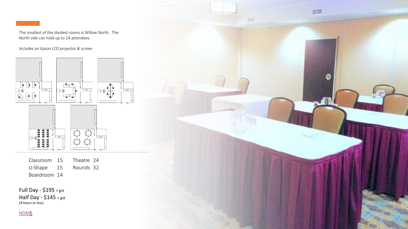<span id="page-3-0"></span>

The smallest of the divided rooms is Willow North. The North side can hold up to 24 attendees

启思

0

*Includes an Epson LCD projector & screen*



| Classroom               | 15 | Theatre 24 |  |
|-------------------------|----|------------|--|
| U-Shape                 | 15 | Rounds 32  |  |
| Boardroom 14            |    |            |  |
|                         |    |            |  |
| Full Day - $$195 + gst$ |    |            |  |
| Half Day - $$145 + gst$ |    |            |  |
| (4 hours or less)       |    |            |  |